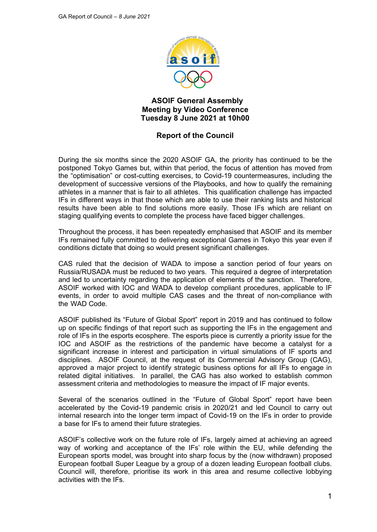

# **ASOIF General Assembly Meeting by Video Conference Tuesday 8 June 2021 at 10h00**

# **Report of the Council**

During the six months since the 2020 ASOIF GA, the priority has continued to be the postponed Tokyo Games but, within that period, the focus of attention has moved from the "optimisation" or cost-cutting exercises, to Covid-19 countermeasures, including the development of successive versions of the Playbooks, and how to qualify the remaining athletes in a manner that is fair to all athletes. This qualification challenge has impacted IFs in different ways in that those which are able to use their ranking lists and historical results have been able to find solutions more easily. Those IFs which are reliant on staging qualifying events to complete the process have faced bigger challenges.

Throughout the process, it has been repeatedly emphasised that ASOIF and its member IFs remained fully committed to delivering exceptional Games in Tokyo this year even if conditions dictate that doing so would present significant challenges.

CAS ruled that the decision of WADA to impose a sanction period of four years on Russia/RUSADA must be reduced to two years. This required a degree of interpretation and led to uncertainty regarding the application of elements of the sanction. Therefore, ASOIF worked with IOC and WADA to develop compliant procedures, applicable to IF events, in order to avoid multiple CAS cases and the threat of non-compliance with the WAD Code.

ASOIF published its "Future of Global Sport" report in 2019 and has continued to follow up on specific findings of that report such as supporting the IFs in the engagement and role of IFs in the esports ecosphere. The esports piece is currently a priority issue for the IOC and ASOIF as the restrictions of the pandemic have become a catalyst for a significant increase in interest and participation in virtual simulations of IF sports and disciplines. ASOIF Council, at the request of its Commercial Advisory Group (CAG), approved a major project to identify strategic business options for all IFs to engage in related digital initiatives. In parallel, the CAG has also worked to establish common assessment criteria and methodologies to measure the impact of IF major events.

Several of the scenarios outlined in the "Future of Global Sport" report have been accelerated by the Covid-19 pandemic crisis in 2020/21 and led Council to carry out internal research into the longer term impact of Covid-19 on the IFs in order to provide a base for IFs to amend their future strategies.

ASOIF's collective work on the future role of IFs, largely aimed at achieving an agreed way of working and acceptance of the IFs' role within the EU, while defending the European sports model, was brought into sharp focus by the (now withdrawn) proposed European football Super League by a group of a dozen leading European football clubs. Council will, therefore, prioritise its work in this area and resume collective lobbying activities with the IFs.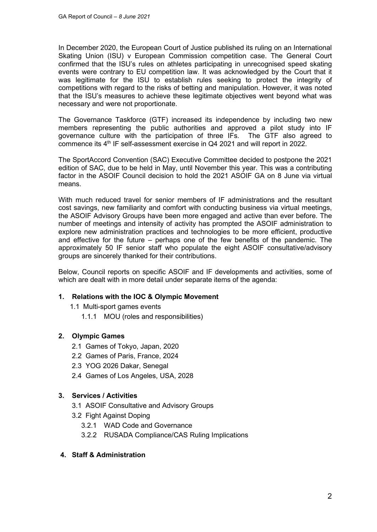In December 2020, the European Court of Justice published its ruling on an International Skating Union (ISU) v European Commission competition case. The General Court confirmed that the ISU's rules on athletes participating in unrecognised speed skating events were contrary to EU competition law. It was acknowledged by the Court that it was legitimate for the ISU to establish rules seeking to protect the integrity of competitions with regard to the risks of betting and manipulation. However, it was noted that the ISU's measures to achieve these legitimate objectives went beyond what was necessary and were not proportionate.

The Governance Taskforce (GTF) increased its independence by including two new members representing the public authorities and approved a pilot study into IF governance culture with the participation of three IFs. The GTF also agreed to commence its 4th IF self-assessment exercise in Q4 2021 and will report in 2022.

The SportAccord Convention (SAC) Executive Committee decided to postpone the 2021 edition of SAC, due to be held in May, until November this year. This was a contributing factor in the ASOIF Council decision to hold the 2021 ASOIF GA on 8 June via virtual means.

With much reduced travel for senior members of IF administrations and the resultant cost savings, new familiarity and comfort with conducting business via virtual meetings, the ASOIF Advisory Groups have been more engaged and active than ever before. The number of meetings and intensity of activity has prompted the ASOIF administration to explore new administration practices and technologies to be more efficient, productive and effective for the future – perhaps one of the few benefits of the pandemic. The approximately 50 IF senior staff who populate the eight ASOIF consultative/advisory groups are sincerely thanked for their contributions.

Below, Council reports on specific ASOIF and IF developments and activities, some of which are dealt with in more detail under separate items of the agenda:

#### **1. Relations with the IOC & Olympic Movement**

- 1.1 Multi-sport games events
	- 1.1.1 MOU (roles and responsibilities)

## **2. Olympic Games**

- 2.1 Games of Tokyo, Japan, 2020
- 2.2 Games of Paris, France, 2024
- 2.3 YOG 2026 Dakar, Senegal
- 2.4 Games of Los Angeles, USA, 2028

#### **3. Services / Activities**

- 3.1 ASOIF Consultative and Advisory Groups
- 3.2 Fight Against Doping
	- 3.2.1 WAD Code and Governance
	- 3.2.2 RUSADA Compliance/CAS Ruling Implications

## **4. Staff & Administration**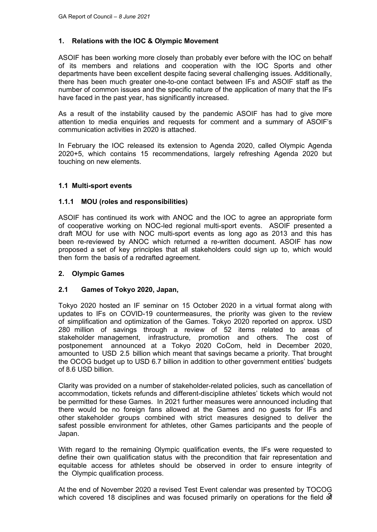## **1. Relations with the IOC & Olympic Movement**

ASOIF has been working more closely than probably ever before with the IOC on behalf of its members and relations and cooperation with the IOC Sports and other departments have been excellent despite facing several challenging issues. Additionally, there has been much greater one-to-one contact between IFs and ASOIF staff as the number of common issues and the specific nature of the application of many that the IFs have faced in the past year, has significantly increased.

As a result of the instability caused by the pandemic ASOIF has had to give more attention to media enquiries and requests for comment and a summary of ASOIF's communication activities in 2020 is attached.

In February the IOC released its extension to Agenda 2020, called Olympic Agenda 2020+5, which contains 15 recommendations, largely refreshing Agenda 2020 but touching on new elements.

#### **1.1 Multi-sport events**

#### **1.1.1 MOU (roles and responsibilities)**

ASOIF has continued its work with ANOC and the IOC to agree an appropriate form of cooperative working on NOC-led regional multi-sport events. ASOIF presented a draft MOU for use with NOC multi-sport events as long ago as 2013 and this has been re-reviewed by ANOC which returned a re-written document. ASOIF has now proposed a set of key principles that all stakeholders could sign up to, which would then form the basis of a redrafted agreement.

#### **2. Olympic Games**

#### **2.1 Games of Tokyo 2020, Japan,**

Tokyo 2020 hosted an IF seminar on 15 October 2020 in a virtual format along with updates to IFs on COVID-19 countermeasures, the priority was given to the review of simplification and optimization of the Games. Tokyo 2020 reported on approx. USD 280 million of savings through a review of 52 items related to areas of stakeholder management, infrastructure, promotion and others. The cost of postponement announced at a Tokyo 2020 CoCom, held in December 2020, amounted to USD 2.5 billion which meant that savings became a priority. That brought the OCOG budget up to USD 6.7 billion in addition to other government entities' budgets of 8.6 USD billion.

Clarity was provided on a number of stakeholder-related policies, such as cancellation of accommodation, tickets refunds and different-discipline athletes' tickets which would not be permitted for these Games. In 2021 further measures were announced including that there would be no foreign fans allowed at the Games and no guests for IFs and other stakeholder groups combined with strict measures designed to deliver the safest possible environment for athletes, other Games participants and the people of Japan.

With regard to the remaining Olympic qualification events, the IFs were requested to define their own qualification status with the precondition that fair representation and equitable access for athletes should be observed in order to ensure integrity of the Olympic qualification process.

which covered 18 disciplines and was focused primarily on operations for the field  $\mathfrak F$ At the end of November 2020 a revised Test Event calendar was presented by TOCOG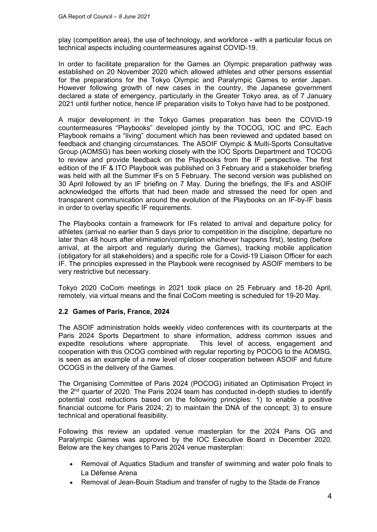play (competition area), the use of technology, and workforce - with a particular focus on technical aspects including countermeasures against COVID-19.

In order to facilitate preparation for the Games an Olympic preparation pathway was established on 20 November 2020 which allowed athletes and other persons essential for the preparations for the Tokyo Olympic and Paralympic Games to enter Japan. However following growth of new cases in the country, the Japanese government declared a state of emergency, particularly in the Greater Tokyo area, as of 7 January 2021 until further notice, hence IF preparation visits to Tokyo have had to be postponed.

A major development in the Tokyo Games preparation has been the COVID-19 countermeasures "Playbooks" developed jointly by the TOCOG, IOC and IPC. Each Playbook remains a "living" document which has been reviewed and updated based on feedback and changing circumstances. The ASOIF Olympic & Multi-Sports Consultative Group (AOMSG) has been working closely with the IOC Sports Department and TOCOG to review and provide feedback on the Playbooks from the IF perspective. The first edition of the IF & ITO Playbook was published on 3 February and a stakeholder briefing was held with all the Summer IFs on 5 February. The second version was published on 30 April followed by an IF briefing on 7 May. During the briefings, the IFs and ASOIF acknowledged the efforts that had been made and stressed the need for open and transparent communication around the evolution of the Playbooks on an IF-by-IF basis in order to overlay specific IF requirements.

The Playbooks contain a framework for IFs related to arrival and departure policy for athletes (arrival no earlier than 5 days prior to competition in the discipline, departure no later than 48 hours after elimination/completion whichever happens first), testing (before arrival, at the airport and regularly during the Games), tracking mobile application (obligatory for all stakeholders) and a specific role for a Covid-19 Liaison Officer for each IF. The principles expressed in the Playbook were recognised by ASOIF members to be very restrictive but necessary.

Tokyo 2020 CoCom meetings in 2021 took place on 25 February and 18-20 April, remotely, via virtual means and the final CoCom meeting is scheduled for 19-20 May.

#### **2.2 Games of Paris, France, 2024**

The ASOIF administration holds weekly video conferences with its counterparts at the Paris 2024 Sports Department to share information, address common issues and expedite resolutions where appropriate. This level of access, engagement and cooperation with this OCOG combined with regular reporting by POCOG to the AOMSG, is seen as an example of a new level of closer cooperation between ASOIF and future OCOGS in the delivery of the Games.

The Organising Committee of Paris 2024 (POCOG) initiated an Optimisation Project in the 2nd quarter of 2020. The Paris 2024 team has conducted in-depth studies to identify potential cost reductions based on the following principles: 1) to enable a positive financial outcome for Paris 2024; 2) to maintain the DNA of the concept; 3) to ensure technical and operational feasibility.

Following this review an updated venue masterplan for the 2024 Paris OG and Paralympic Games was approved by the IOC Executive Board in December 2020. Below are the key changes to Paris 2024 venue masterplan:

- Removal of Aquatics Stadium and transfer of swimming and water polo finals to La Défense Arena
- Removal of Jean-Bouin Stadium and transfer of rugby to the Stade de France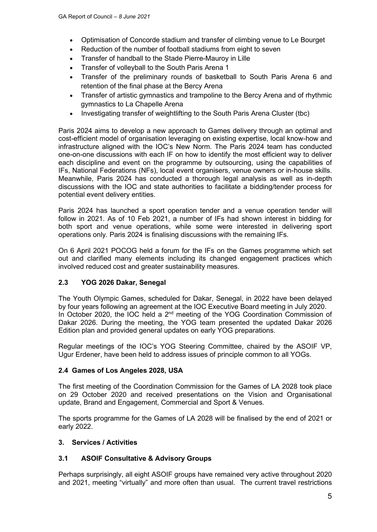- Optimisation of Concorde stadium and transfer of climbing venue to Le Bourget
- Reduction of the number of football stadiums from eight to seven
- Transfer of handball to the Stade Pierre-Mauroy in Lille
- Transfer of volleyball to the South Paris Arena 1
- Transfer of the preliminary rounds of basketball to South Paris Arena 6 and retention of the final phase at the Bercy Arena
- Transfer of artistic gymnastics and trampoline to the Bercy Arena and of rhythmic gymnastics to La Chapelle Arena
- Investigating transfer of weightlifting to the South Paris Arena Cluster (tbc)

Paris 2024 aims to develop a new approach to Games delivery through an optimal and cost-efficient model of organisation leveraging on existing expertise, local know-how and infrastructure aligned with the IOC's New Norm. The Paris 2024 team has conducted one-on-one discussions with each IF on how to identify the most efficient way to deliver each discipline and event on the programme by outsourcing, using the capabilities of IFs, National Federations (NFs), local event organisers, venue owners or in-house skills. Meanwhile, Paris 2024 has conducted a thorough legal analysis as well as in-depth discussions with the IOC and state authorities to facilitate a bidding/tender process for potential event delivery entities.

Paris 2024 has launched a sport operation tender and a venue operation tender will follow in 2021. As of 10 Feb 2021, a number of IFs had shown interest in bidding for both sport and venue operations, while some were interested in delivering sport operations only. Paris 2024 is finalising discussions with the remaining IFs.

On 6 April 2021 POCOG held a forum for the IFs on the Games programme which set out and clarified many elements including its changed engagement practices which involved reduced cost and greater sustainability measures.

# **2.3 YOG 2026 Dakar, Senegal**

The Youth Olympic Games, scheduled for Dakar, Senegal, in 2022 have been delayed by four years following an agreement at the IOC Executive Board meeting in July 2020. In October 2020, the IOC held a 2<sup>nd</sup> meeting of the YOG Coordination Commission of Dakar 2026. During the meeting, the YOG team presented the updated Dakar 2026 Edition plan and provided general updates on early YOG preparations.

Regular meetings of the IOC's YOG Steering Committee, chaired by the ASOIF VP, Ugur Erdener, have been held to address issues of principle common to all YOGs.

#### **2.4 Games of Los Angeles 2028, USA**

The first meeting of the Coordination Commission for the Games of LA 2028 took place on 29 October 2020 and received presentations on the Vision and Organisational update, Brand and Engagement, Commercial and Sport & Venues.

The sports programme for the Games of LA 2028 will be finalised by the end of 2021 or early 2022.

#### **3. Services / Activities**

#### **3.1 ASOIF Consultative & Advisory Groups**

Perhaps surprisingly, all eight ASOIF groups have remained very active throughout 2020 and 2021, meeting "virtually" and more often than usual. The current travel restrictions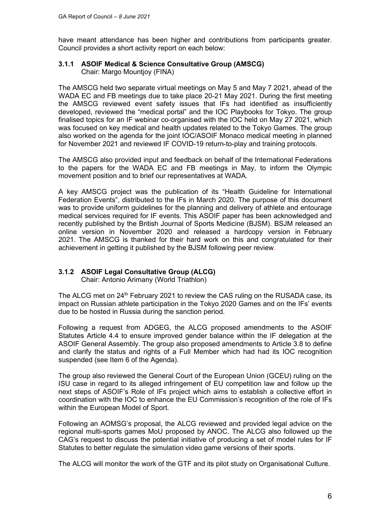have meant attendance has been higher and contributions from participants greater. Council provides a short activity report on each below:

#### **3.1.1 ASOIF Medical & Science Consultative Group (AMSCG)** Chair: Margo Mountjoy (FINA)

The AMSCG held two separate virtual meetings on May 5 and May 7 2021, ahead of the WADA EC and FB meetings due to take place 20-21 May 2021. During the first meeting the AMSCG reviewed event safety issues that IFs had identified as insufficiently developed, reviewed the "medical portal" and the IOC Playbooks for Tokyo. The group finalised topics for an IF webinar co-organised with the IOC held on May 27 2021, which was focused on key medical and health updates related to the Tokyo Games. The group also worked on the agenda for the joint IOC/ASOIF Monaco medical meeting in planned for November 2021 and reviewed IF COVID-19 return-to-play and training protocols.

The AMSCG also provided input and feedback on behalf of the International Federations to the papers for the WADA EC and FB meetings in May, to inform the Olympic movement position and to brief our representatives at WADA.

A key AMSCG project was the publication of its "Health Guideline for International Federation Events", distributed to the IFs in March 2020. The purpose of this document was to provide uniform guidelines for the planning and delivery of athlete and entourage medical services required for IF events. This ASOIF paper has been acknowledged and recently published by the British Journal of Sports Medicine (BJSM). BSJM released an online version in November 2020 and released a hardcopy version in February 2021. The AMSCG is thanked for their hard work on this and congratulated for their achievement in getting it published by the BJSM following peer review.

# **3.1.2 ASOIF Legal Consultative Group (ALCG)**

Chair: Antonio Arimany (World Triathlon)

The ALCG met on 24<sup>th</sup> February 2021 to review the CAS ruling on the RUSADA case, its impact on Russian athlete participation in the Tokyo 2020 Games and on the IFs' events due to be hosted in Russia during the sanction period.

Following a request from ADGEG, the ALCG proposed amendments to the ASOIF Statutes Article 4.4 to ensure improved gender balance within the IF delegation at the ASOIF General Assembly. The group also proposed amendments to Article 3.8 to define and clarify the status and rights of a Full Member which had had its IOC recognition suspended (see Item 6 of the Agenda).

The group also reviewed the General Court of the European Union (GCEU) ruling on the ISU case in regard to its alleged infringement of EU competition law and follow up the next steps of ASOIF's Role of IFs project which aims to establish a collective effort in coordination with the IOC to enhance the EU Commission's recognition of the role of IFs within the European Model of Sport.

Following an AOMSG's proposal, the ALCG reviewed and provided legal advice on the regional multi-sports games MoU proposed by ANOC. The ALCG also followed up the CAG's request to discuss the potential initiative of producing a set of model rules for IF Statutes to better regulate the simulation video game versions of their sports.

The ALCG will monitor the work of the GTF and its pilot study on Organisational Culture.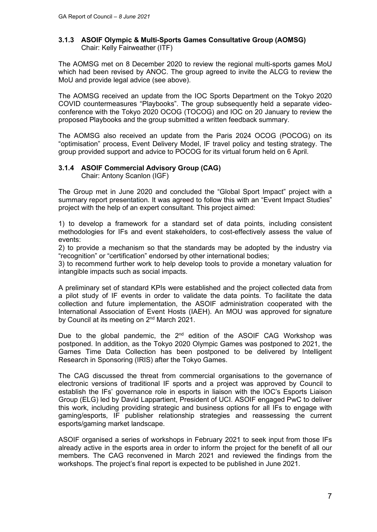#### **3.1.3 ASOIF Olympic & Multi-Sports Games Consultative Group (AOMSG)** Chair: Kelly Fairweather (ITF)

The AOMSG met on 8 December 2020 to review the regional multi-sports games MoU which had been revised by ANOC. The group agreed to invite the ALCG to review the MoU and provide legal advice (see above).

The AOMSG received an update from the IOC Sports Department on the Tokyo 2020 COVID countermeasures "Playbooks". The group subsequently held a separate videoconference with the Tokyo 2020 OCOG (TOCOG) and IOC on 20 January to review the proposed Playbooks and the group submitted a written feedback summary.

The AOMSG also received an update from the Paris 2024 OCOG (POCOG) on its "optimisation" process, Event Delivery Model, IF travel policy and testing strategy. The group provided support and advice to POCOG for its virtual forum held on 6 April.

## **3.1.4 ASOIF Commercial Advisory Group (CAG)**

Chair: Antony Scanlon (IGF)

The Group met in June 2020 and concluded the "Global Sport Impact" project with a summary report presentation. It was agreed to follow this with an "Event Impact Studies" project with the help of an expert consultant. This project aimed:

1) to develop a framework for a standard set of data points, including consistent methodologies for IFs and event stakeholders, to cost-effectively assess the value of events:

2) to provide a mechanism so that the standards may be adopted by the industry via "recognition" or "certification" endorsed by other international bodies;

3) to recommend further work to help develop tools to provide a monetary valuation for intangible impacts such as social impacts.

A preliminary set of standard KPIs were established and the project collected data from a pilot study of IF events in order to validate the data points. To facilitate the data collection and future implementation, the ASOIF administration cooperated with the International Association of Event Hosts (IAEH). An MOU was approved for signature by Council at its meeting on 2<sup>nd</sup> March 2021.

Due to the global pandemic, the  $2^{nd}$  edition of the ASOIF CAG Workshop was postponed. In addition, as the Tokyo 2020 Olympic Games was postponed to 2021, the Games Time Data Collection has been postponed to be delivered by Intelligent Research in Sponsoring (IRIS) after the Tokyo Games.

The CAG discussed the threat from commercial organisations to the governance of electronic versions of traditional IF sports and a project was approved by Council to establish the IFs' governance role in esports in liaison with the IOC's Esports Liaison Group (ELG) led by David Lappartient, President of UCI. ASOIF engaged PwC to deliver this work, including providing strategic and business options for all IFs to engage with gaming/esports, IF publisher relationship strategies and reassessing the current esports/gaming market landscape.

ASOIF organised a series of workshops in February 2021 to seek input from those IFs already active in the esports area in order to inform the project for the benefit of all our members. The CAG reconvened in March 2021 and reviewed the findings from the workshops. The project's final report is expected to be published in June 2021.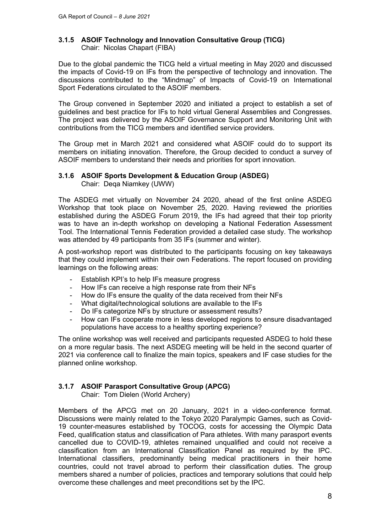## **3.1.5 ASOIF Technology and Innovation Consultative Group (TICG)** Chair: Nicolas Chapart (FIBA)

Due to the global pandemic the TICG held a virtual meeting in May 2020 and discussed the impacts of Covid-19 on IFs from the perspective of technology and innovation. The discussions contributed to the "Mindmap" of Impacts of Covid-19 on International Sport Federations circulated to the ASOIF members.

The Group convened in September 2020 and initiated a project to establish a set of guidelines and best practice for IFs to hold virtual General Assemblies and Congresses. The project was delivered by the ASOIF Governance Support and Monitoring Unit with contributions from the TICG members and identified service providers.

The Group met in March 2021 and considered what ASOIF could do to support its members on initiating innovation. Therefore, the Group decided to conduct a survey of ASOIF members to understand their needs and priorities for sport innovation.

# **3.1.6 ASOIF Sports Development & Education Group (ASDEG)**

Chair: Deqa Niamkey (UWW)

The ASDEG met virtually on November 24 2020, ahead of the first online ASDEG Workshop that took place on November 25, 2020. Having reviewed the priorities established during the ASDEG Forum 2019, the IFs had agreed that their top priority was to have an in-depth workshop on developing a National Federation Assessment Tool. The International Tennis Federation provided a detailed case study. The workshop was attended by 49 participants from 35 IFs (summer and winter).

A post-workshop report was distributed to the participants focusing on key takeaways that they could implement within their own Federations. The report focused on providing learnings on the following areas:

- Establish KPI's to help IFs measure progress
- How IFs can receive a high response rate from their NFs
- How do IFs ensure the quality of the data received from their NFs
- What digital/technological solutions are available to the IFs
- Do IFs categorize NFs by structure or assessment results?
- How can IFs cooperate more in less developed regions to ensure disadvantaged populations have access to a healthy sporting experience?

The online workshop was well received and participants requested ASDEG to hold these on a more regular basis. The next ASDEG meeting will be held in the second quarter of 2021 via conference call to finalize the main topics, speakers and IF case studies for the planned online workshop.

# **3.1.7 ASOIF Parasport Consultative Group (APCG)**

Chair: Tom Dielen (World Archery)

Members of the APCG met on 20 January, 2021 in a video-conference format. Discussions were mainly related to the Tokyo 2020 Paralympic Games, such as Covid-19 counter-measures established by TOCOG, costs for accessing the Olympic Data Feed, qualification status and classification of Para athletes. With many parasport events cancelled due to COVID-19, athletes remained unqualified and could not receive a classification from an International Classification Panel as required by the IPC. International classifiers, predominantly being medical practitioners in their home countries, could not travel abroad to perform their classification duties. The group members shared a number of policies, practices and temporary solutions that could help overcome these challenges and meet preconditions set by the IPC.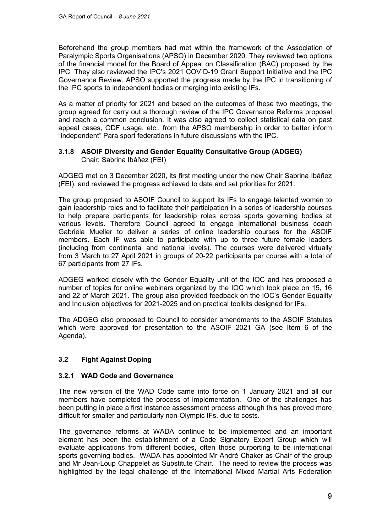Beforehand the group members had met within the framework of the Association of Paralympic Sports Organisations (APSO) in December 2020. They reviewed two options of the financial model for the Board of Appeal on Classification (BAC) proposed by the IPC. They also reviewed the IPC's 2021 COVID-19 Grant Support Initiative and the IPC Governance Review. APSO supported the progress made by the IPC in transitioning of the IPC sports to independent bodies or merging into existing IFs.

As a matter of priority for 2021 and based on the outcomes of these two meetings, the group agreed for carry out a thorough review of the IPC Governance Reforms proposal and reach a common conclusion. It was also agreed to collect statistical data on past appeal cases, ODF usage, etc., from the APSO membership in order to better inform "independent" Para sport federations in future discussions with the IPC.

#### **3.1.8 ASOIF Diversity and Gender Equality Consultative Group (ADGEG)** Chair: Sabrina Ibáňez (FEI)

ADGEG met on 3 December 2020, its first meeting under the new Chair Sabrina Ibáñez (FEI), and reviewed the progress achieved to date and set priorities for 2021.

The group proposed to ASOIF Council to support its IFs to engage talented women to gain leadership roles and to facilitate their participation in a series of leadership courses to help prepare participants for leadership roles across sports governing bodies at various levels. Therefore Council agreed to engage international business coach Gabriela Mueller to deliver a series of online leadership courses for the ASOIF members. Each IF was able to participate with up to three future female leaders (including from continental and national levels). The courses were delivered virtually from 3 March to 27 April 2021 in groups of 20-22 participants per course with a total of 67 participants from 27 IFs.

ADGEG worked closely with the Gender Equality unit of the IOC and has proposed a number of topics for online webinars organized by the IOC which took place on 15, 16 and 22 of March 2021. The group also provided feedback on the IOC's Gender Equality and Inclusion objectives for 2021-2025 and on practical toolkits designed for IFs.

The ADGEG also proposed to Council to consider amendments to the ASOIF Statutes which were approved for presentation to the ASOIF 2021 GA (see Item 6 of the Agenda).

# **3.2 Fight Against Doping**

#### **3.2.1 WAD Code and Governance**

The new version of the WAD Code came into force on 1 January 2021 and all our members have completed the process of implementation. One of the challenges has been putting in place a first instance assessment process although this has proved more difficult for smaller and particularly non-Olympic IFs, due to costs.

The governance reforms at WADA continue to be implemented and an important element has been the establishment of a Code Signatory Expert Group which will evaluate applications from different bodies, often those purporting to be international sports governing bodies. WADA has appointed Mr André Chaker as Chair of the group and Mr Jean-Loup Chappelet as Substitute Chair. The need to review the process was highlighted by the legal challenge of the International Mixed Martial Arts Federation